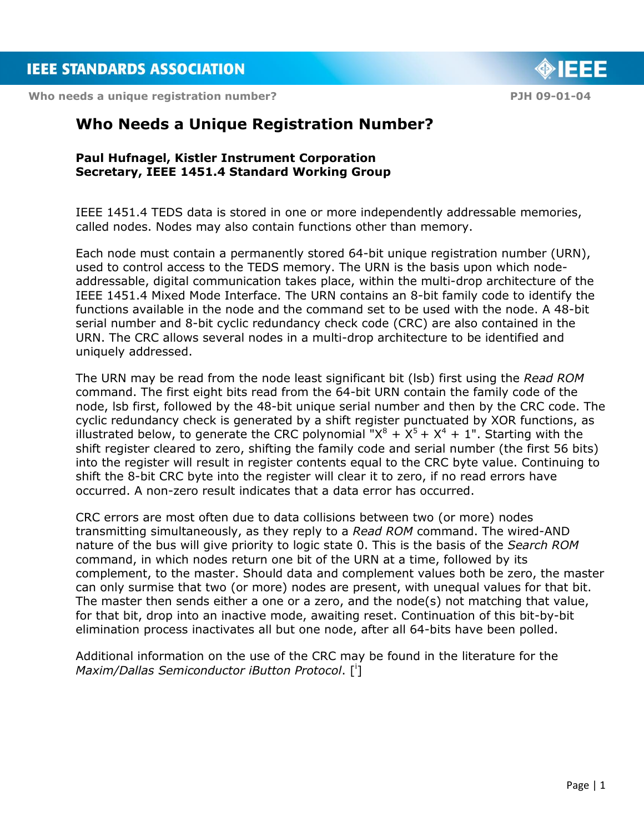Who needs a unique registration number? **PIH 09-01-04 PJH 09-01-04** 



# **Who Needs a Unique Registration Number?**

#### **Paul Hufnagel, Kistler Instrument Corporation Secretary, IEEE 1451.4 Standard Working Group**

IEEE 1451.4 TEDS data is stored in one or more independently addressable memories, called nodes. Nodes may also contain functions other than memory.

Each node must contain a permanently stored 64-bit unique registration number (URN), used to control access to the TEDS memory. The URN is the basis upon which nodeaddressable, digital communication takes place, within the multi-drop architecture of the IEEE 1451.4 Mixed Mode Interface. The URN contains an 8-bit family code to identify the functions available in the node and the command set to be used with the node. A 48-bit serial number and 8-bit cyclic redundancy check code (CRC) are also contained in the URN. The CRC allows several nodes in a multi-drop architecture to be identified and uniquely addressed.

The URN may be read from the node least significant bit (lsb) first using the *Read ROM* command. The first eight bits read from the 64-bit URN contain the family code of the node, lsb first, followed by the 48-bit unique serial number and then by the CRC code. The cyclic redundancy check is generated by a shift register punctuated by XOR functions, as illustrated below, to generate the CRC polynomial " $X^8 + X^5 + X^4 + 1$ ". Starting with the shift register cleared to zero, shifting the family code and serial number (the first 56 bits) into the register will result in register contents equal to the CRC byte value. Continuing to shift the 8-bit CRC byte into the register will clear it to zero, if no read errors have occurred. A non-zero result indicates that a data error has occurred.

CRC errors are most often due to data collisions between two (or more) nodes transmitting simultaneously, as they reply to a *Read ROM* command. The wired-AND nature of the bus will give priority to logic state 0. This is the basis of the *Search ROM* command, in which nodes return one bit of the URN at a time, followed by its complement, to the master. Should data and complement values both be zero, the master can only surmise that two (or more) nodes are present, with unequal values for that bit. The master then sends either a one or a zero, and the node(s) not matching that value, for that bit, drop into an inactive mode, awaiting reset. Continuation of this bit-by-bit elimination process inactivates all but one node, after all 64-bits have been polled.

Additional information on the use of the CRC may be found in the literature for the *Maxim/Dallas Semiconductor iButton Protocol*. [<sup>i</sup> ]